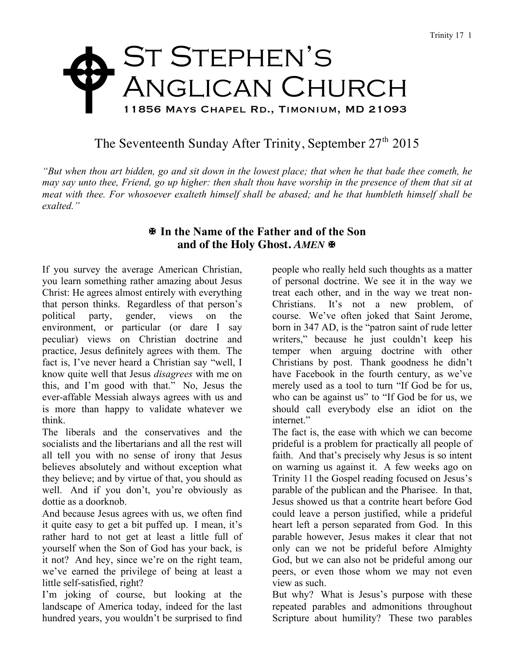## ST STEPHEN'S ANGLICAN CHURCH 11856 Mays Chapel Rd., Timonium, MD 21093  $\blacklozenge$

## The Seventeenth Sunday After Trinity, September  $27<sup>th</sup> 2015$

*"But when thou art bidden, go and sit down in the lowest place; that when he that bade thee cometh, he may say unto thee, Friend, go up higher: then shalt thou have worship in the presence of them that sit at meat with thee. For whosoever exalteth himself shall be abased; and he that humbleth himself shall be exalted."*

## X **In the Name of the Father and of the Son** and of the Holy Ghost. AMEN  $\blacksquare$

If you survey the average American Christian, you learn something rather amazing about Jesus Christ: He agrees almost entirely with everything that person thinks. Regardless of that person's political party, gender, views on the environment, or particular (or dare I say peculiar) views on Christian doctrine and practice, Jesus definitely agrees with them. The fact is, I've never heard a Christian say "well, I know quite well that Jesus *disagrees* with me on this, and I'm good with that." No, Jesus the ever-affable Messiah always agrees with us and is more than happy to validate whatever we think.

The liberals and the conservatives and the socialists and the libertarians and all the rest will all tell you with no sense of irony that Jesus believes absolutely and without exception what they believe; and by virtue of that, you should as well. And if you don't, you're obviously as dottie as a doorknob.

And because Jesus agrees with us, we often find it quite easy to get a bit puffed up. I mean, it's rather hard to not get at least a little full of yourself when the Son of God has your back, is it not? And hey, since we're on the right team, we've earned the privilege of being at least a little self-satisfied, right?

I'm joking of course, but looking at the landscape of America today, indeed for the last hundred years, you wouldn't be surprised to find

people who really held such thoughts as a matter of personal doctrine. We see it in the way we treat each other, and in the way we treat non-Christians. It's not a new problem, of course. We've often joked that Saint Jerome, born in 347 AD, is the "patron saint of rude letter writers," because he just couldn't keep his temper when arguing doctrine with other Christians by post. Thank goodness he didn't have Facebook in the fourth century, as we've merely used as a tool to turn "If God be for us, who can be against us" to "If God be for us, we should call everybody else an idiot on the internet."

The fact is, the ease with which we can become prideful is a problem for practically all people of faith. And that's precisely why Jesus is so intent on warning us against it. A few weeks ago on Trinity 11 the Gospel reading focused on Jesus's parable of the publican and the Pharisee. In that, Jesus showed us that a contrite heart before God could leave a person justified, while a prideful heart left a person separated from God. In this parable however, Jesus makes it clear that not only can we not be prideful before Almighty God, but we can also not be prideful among our peers, or even those whom we may not even view as such.

But why? What is Jesus's purpose with these repeated parables and admonitions throughout Scripture about humility? These two parables